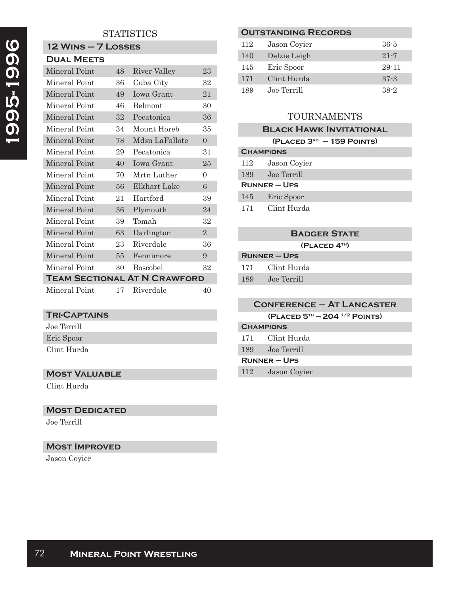# **STATISTICS**

### **12 Wins – 7 Losses Dual Meets**

| DUAL MEE IS                         |                 |                 |                |
|-------------------------------------|-----------------|-----------------|----------------|
| Mineral Point                       | 48              | River Valley    | 23             |
| Mineral Point                       | 36              | Cuba City       | 32             |
| Mineral Point                       | 49              | Iowa Grant      | 21             |
| Mineral Point                       | 46              | Belmont         | 30             |
| Mineral Point                       | 32              | Pecatonica      | 36             |
| Mineral Point                       | 34              | Mount Horeb     | 35             |
| Mineral Point                       | 78              | Mdsn LaFallote  | $\Omega$       |
| Mineral Point                       | 29              | Pecatonica      | 31             |
| Mineral Point                       | 40              | Iowa Grant      | 25             |
| Mineral Point                       | 70              | Mrtn Luther     | $\theta$       |
| Mineral Point                       | 56              | Elkhart Lake    | 6              |
| Mineral Point                       | 21              | Hartford        | 39             |
| Mineral Point                       | 36              | Plymouth        | 24             |
| Mineral Point                       | 39              | Tomah           | 32             |
| Mineral Point                       | 63              | Darlington      | $\overline{2}$ |
| Mineral Point                       | 23              | Riverdale       | 36             |
| Mineral Point                       | 55 <sub>1</sub> | Fennimore       | 9              |
| Mineral Point                       | 30              | <b>Boscobel</b> | 32             |
| <b>TEAM SECTIONAL AT N CRAWFORD</b> |                 |                 |                |
| Mineral Point                       | 17              | Riverdale       | 40             |

## **Tri-Captains**

Joe Terrill Eric Spoor Clint Hurda

### **Most Valuable**

Clint Hurda

#### **MOST DEDICATED**

Joe Terrill

# **Most Improved**

Jason Coyier

### **Outstanding Records**

| 112 | Jason Covier | $36 - 5$  |
|-----|--------------|-----------|
| 140 | Delzie Leigh | $21 - 7$  |
| 145 | Eric Spoor   | $29 - 11$ |
| 171 | Clint Hurda  | $37 - 3$  |
| 189 | Joe Terrill  | $38-2$    |

# TOURNAMENTS

## **Black Hawk Invitational**

|                   | $(PLACED 3RD - 159$ POINTS) |  |  |
|-------------------|-----------------------------|--|--|
| <b>CHAMPIONS</b>  |                             |  |  |
| 112               | Jason Covier                |  |  |
| 189               | Joe Terrill                 |  |  |
| <b>RUNNER-UPS</b> |                             |  |  |
| 145               | Eric Spoor                  |  |  |
| 171               | Clint Hurda                 |  |  |

# **Badger State**

|                     | (PLACED 4TH) |  |
|---------------------|--------------|--|
| <b>RUNNER – UPS</b> |              |  |

| 171 | Clint Hurda |
|-----|-------------|
| 189 | Joe Terrill |

|                   | <b>CONFERENCE - AT LANCASTER</b> |  |
|-------------------|----------------------------------|--|
|                   | $(PLACED 5TH - 2041/2$ POINTS)   |  |
| <b>CHAMPIONS</b>  |                                  |  |
|                   | 171 Clint Hurda                  |  |
|                   | 189 Joe Terrill                  |  |
| <b>RUNNER-UPS</b> |                                  |  |
| 112               | Jason Coyier                     |  |